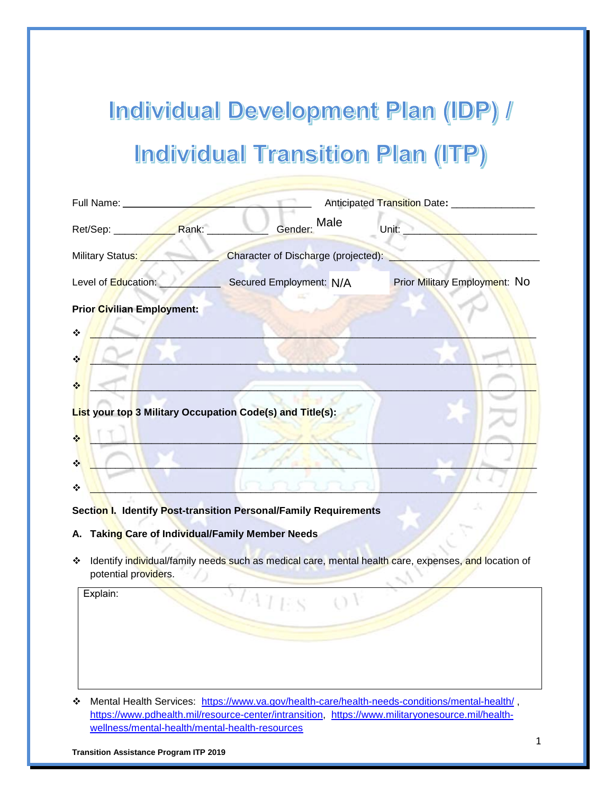# Individual Development Plan (IDP) / **Individual Transition Plan (ITP)**

| Full Name: ___________                |                                                           | Anticipated Transition Date: ________________ |
|---------------------------------------|-----------------------------------------------------------|-----------------------------------------------|
| Ret/Sep: Rank:                        | Male<br>Gender:                                           | Unit: $\_$                                    |
| Military Status:                      | Character of Discharge (projected):                       |                                               |
| Level of Education:                   | Secured Employment: N/A                                   | <b>Prior Military Employment: NO</b>          |
| <b>Prior Civilian Employment:</b>     |                                                           |                                               |
| ❖                                     |                                                           |                                               |
| $\frac{1}{2}$                         |                                                           |                                               |
| $\frac{1}{2}$                         |                                                           |                                               |
|                                       | List your top 3 Military Occupation Code(s) and Title(s): |                                               |
| $\frac{1}{2}$                         |                                                           |                                               |
| $\bullet^{\bullet}_{\bullet} \bullet$ |                                                           |                                               |
| ❖                                     |                                                           |                                               |

**Section I. Identify Post-transition Personal/Family Requirements**

- **A. Taking Care of Individual/Family Member Needs**
- \* Identify individual/family needs such as medical care, mental health care, expenses, and location of potential providers.

Explain:

\* Mental Health Services: <https://www.va.gov/health-care/health-needs-conditions/mental-health/>, [https://www.pdhealth.mil/resource-center/intransition,](https://www.pdhealth.mil/resource-center/intransition) [https://www.militaryonesource.mil/health](https://www.militaryonesource.mil/health-wellness/mental-health/mental-health-resources)[wellness/mental-health/mental-health-resources](https://www.militaryonesource.mil/health-wellness/mental-health/mental-health-resources)

**Transition Assistance Program ITP 2019**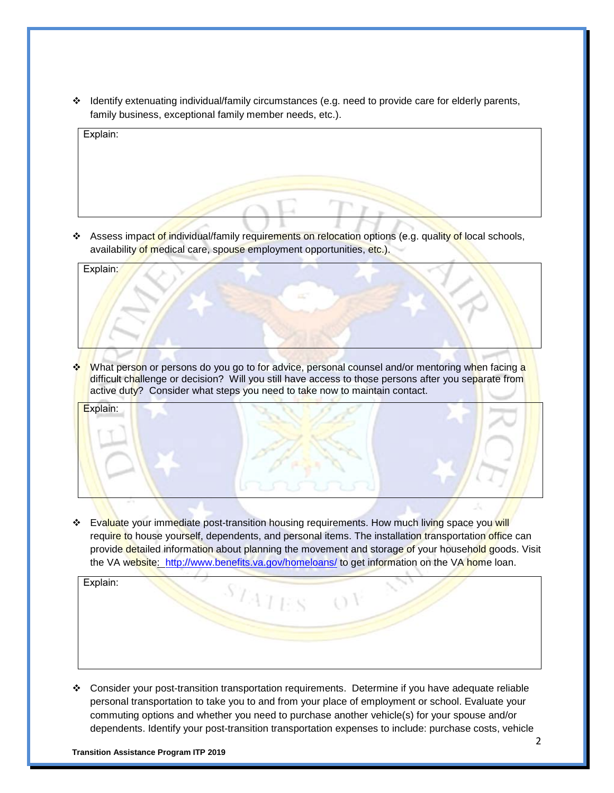$\cdot \cdot$  Identify extenuating individual/family circumstances (e.g. need to provide care for elderly parents, family business, exceptional family member needs, etc.).

| Explain: |  |  |
|----------|--|--|
|          |  |  |
|          |  |  |
|          |  |  |
|          |  |  |

❖ Assess impact of individual/family requirements on relocation options (e.g. quality of local schools, availability of medical care, spouse employment opportunities, etc.).

| Explain:             |                                                                                                 |  |
|----------------------|-------------------------------------------------------------------------------------------------|--|
|                      |                                                                                                 |  |
|                      |                                                                                                 |  |
|                      |                                                                                                 |  |
|                      |                                                                                                 |  |
|                      |                                                                                                 |  |
| $\ddot{\phantom{a}}$ | What person or persons do you go to for advice, personal counsel and/or mentoring when facing a |  |

\* What person or persons do you go to for advice, personal counsel and/or mentoring when facing a difficult challenge or decision? Will you still have access to those persons after you separate from active duty? Consider what steps you need to take now to maintain contact.

 **Evaluate your immediate post-transition housing requirements. How much living space you will** require to house yourself, dependents, and personal items. The installation transportation office can provide detailed information about planning the movement and storage of your household goods. Visit the VA website: <http://www.benefits.va.gov/homeloans/> to get information on the VA home loan.



 Consider your post-transition transportation requirements. Determine if you have adequate reliable personal transportation to take you to and from your place of employment or school. Evaluate your commuting options and whether you need to purchase another vehicle(s) for your spouse and/or dependents. Identify your post-transition transportation expenses to include: purchase costs, vehicle

**Transition Assistance Program ITP 2019**

Explain: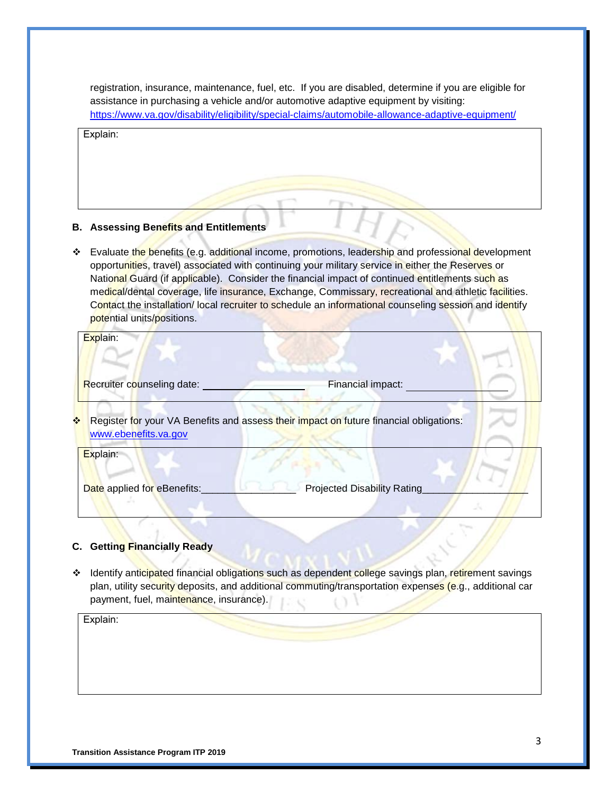registration, insurance, maintenance, fuel, etc. If you are disabled, determine if you are eligible for assistance in purchasing a vehicle and/or automotive adaptive equipment by visiting: <https://www.va.gov/disability/eligibility/special-claims/automobile-allowance-adaptive-equipment/>

Explain:

### **B. Assessing Benefits and Entitlements**

❖ Evaluate the benefits (e.g. additional income, promotions, leadership and professional development opportunities, travel) associated with continuing your military service in either the Reserves or National Guard (if applicable). Consider the financial impact of continued entitlements such as medical/dental coverage, life insurance, Exchange, Commissary, recreational and athletic facilities. Contact the installation/ local recruiter to schedule an informational counseling session and identify potential units/positions.

| Explain:                              |                                                                                        |  |
|---------------------------------------|----------------------------------------------------------------------------------------|--|
| Recruiter counseling date:            | Financial impact:                                                                      |  |
| $\frac{1}{2}$<br>www.ebenefits.va.gov | Register for your VA Benefits and assess their impact on future financial obligations: |  |
| Explain:                              |                                                                                        |  |
| Date applied for eBenefits:           | <b>Projected Disability Rating</b>                                                     |  |

## **C. Getting Financially Ready**

\* Identify anticipated financial obligations such as dependent college savings plan, retirement savings plan, utility security deposits, and additional commuting/transportation expenses (e.g., additional car payment, fuel, maintenance, insurance).

Explain: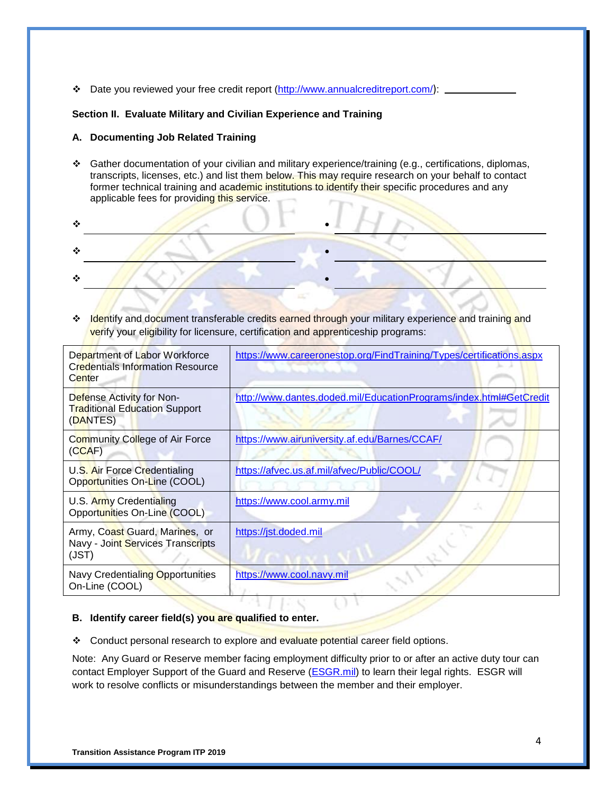Date you reviewed your free credit report [\(http://www.annualcreditreport.com/](http://www.annualcreditreport.com/)):

#### **Section II. Evaluate Military and Civilian Experience and Training**

#### **A. Documenting Job Related Training**

 Gather documentation of your civilian and military experience/training (e.g., certifications, diplomas, transcripts, licenses, etc.) and list them below. This may require research on your behalf to contact former technical training and academic institutions to identify their specific procedures and any applicable fees for providing this service.

❖ Identify and document transferable credits earned through your military experience and training and verify your eligibility for licensure, certification and apprenticeship programs:

| Department of Labor Workforce<br><b>Credentials Information Resource</b><br>Center | https://www.careeronestop.org/FindTraining/Types/certifications.aspx |
|------------------------------------------------------------------------------------|----------------------------------------------------------------------|
| Defense Activity for Non-<br><b>Traditional Education Support</b><br>(DANTES)      | http://www.dantes.doded.mil/EducationPrograms/index.html#GetCredit   |
| Community College of Air Force<br>(CCAF)                                           | https://www.airuniversity.af.edu/Barnes/CCAF/                        |
| U.S. Air Force Credentialing<br>Opportunities On-Line (COOL)                       | https://afvec.us.af.mil/afvec/Public/COOL/                           |
| U.S. Army Credentialing<br>Opportunities On-Line (COOL)                            | https://www.cool.army.mil                                            |
| Army, Coast Guard, Marines, or<br>Navy - Joint Services Transcripts<br>(JST)       | https://jst.doded.mil                                                |
| Navy Credentialing Opportunities<br>On-Line (COOL)                                 | https://www.cool.navy.mil                                            |

#### **B. Identify career field(s) you are qualified to enter.**

Conduct personal research to explore and evaluate potential career field options.

Note: Any Guard or Reserve member facing employment difficulty prior to or after an active duty tour can contact Employer Support of the Guard and Reserve (ESGR.mil) to learn their legal rights. ESGR will work to resolve conflicts or misunderstandings between the member and their employer.

 $\mathbb{C}^4$  is a  $\mathbb{C}^4$